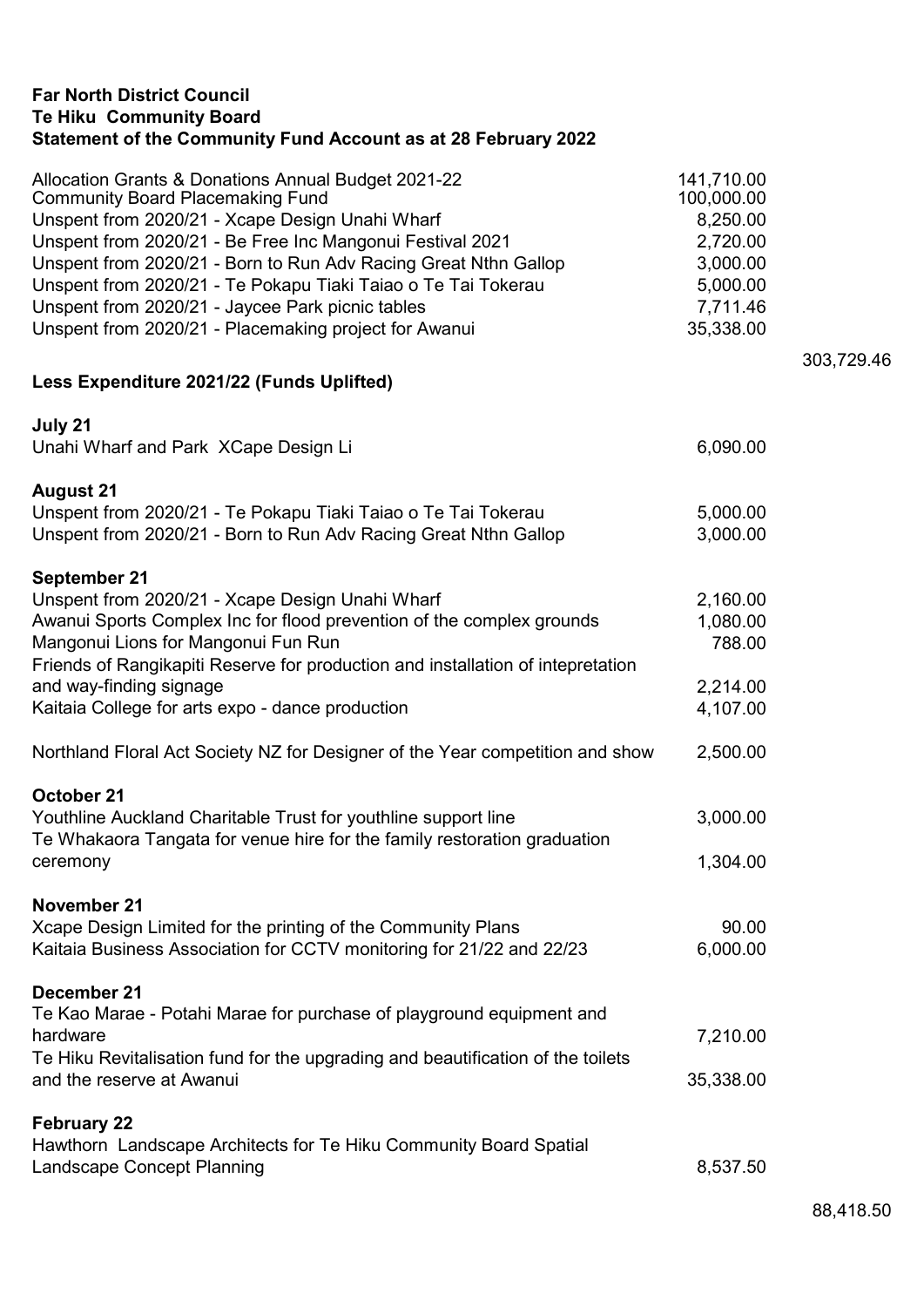| <b>Te Hiku Community Board</b><br>Statement of the Community Fund Account as at 28 February 2022                                                                                                                                                                                                                                                                                                                                                                |                                                                                                   |
|-----------------------------------------------------------------------------------------------------------------------------------------------------------------------------------------------------------------------------------------------------------------------------------------------------------------------------------------------------------------------------------------------------------------------------------------------------------------|---------------------------------------------------------------------------------------------------|
| Allocation Grants & Donations Annual Budget 2021-22<br><b>Community Board Placemaking Fund</b><br>Unspent from 2020/21 - Xcape Design Unahi Wharf<br>Unspent from 2020/21 - Be Free Inc Mangonui Festival 2021<br>Unspent from 2020/21 - Born to Run Adv Racing Great Nthn Gallop<br>Unspent from 2020/21 - Te Pokapu Tiaki Taiao o Te Tai Tokerau<br>Unspent from 2020/21 - Jaycee Park picnic tables<br>Unspent from 2020/21 - Placemaking project for Awanui | 141,710.00<br>100,000.00<br>8,250.00<br>2,720.00<br>3,000.00<br>5,000.00<br>7,711.46<br>35,338.00 |
| Less Expenditure 2021/22 (Funds Uplifted)                                                                                                                                                                                                                                                                                                                                                                                                                       |                                                                                                   |
| July 21<br>Unahi Wharf and Park XCape Design Li                                                                                                                                                                                                                                                                                                                                                                                                                 | 6,090.00                                                                                          |
| <b>August 21</b><br>Unspent from 2020/21 - Te Pokapu Tiaki Taiao o Te Tai Tokerau<br>Unspent from 2020/21 - Born to Run Adv Racing Great Nthn Gallop                                                                                                                                                                                                                                                                                                            | 5,000.00<br>3,000.00                                                                              |
| September 21<br>Unspent from 2020/21 - Xcape Design Unahi Wharf<br>Awanui Sports Complex Inc for flood prevention of the complex grounds<br>Mangonui Lions for Mangonui Fun Run<br>Friends of Rangikapiti Reserve for production and installation of intepretation<br>and way-finding signage<br>Kaitaia College for arts expo - dance production                                                                                                               | 2,160.00<br>1,080.00<br>788.00<br>2,214.00<br>4,107.00                                            |
| Northland Floral Act Society NZ for Designer of the Year competition and show                                                                                                                                                                                                                                                                                                                                                                                   | 2,500.00                                                                                          |
| October 21<br>Youthline Auckland Charitable Trust for youthline support line<br>Te Whakaora Tangata for venue hire for the family restoration graduation<br>ceremony                                                                                                                                                                                                                                                                                            | 3,000.00<br>1,304.00                                                                              |
| November 21<br>Xcape Design Limited for the printing of the Community Plans<br>Kaitaia Business Association for CCTV monitoring for 21/22 and 22/23                                                                                                                                                                                                                                                                                                             | 90.00<br>6,000.00                                                                                 |
| December 21<br>Te Kao Marae - Potahi Marae for purchase of playground equipment and<br>hardware<br>Te Hiku Revitalisation fund for the upgrading and beautification of the toilets<br>and the reserve at Awanui                                                                                                                                                                                                                                                 | 7,210.00<br>35,338.00                                                                             |
| <b>February 22</b><br>Hawthorn Landscape Architects for Te Hiku Community Board Spatial<br><b>Landscape Concept Planning</b>                                                                                                                                                                                                                                                                                                                                    | 8,537.50                                                                                          |

Far North District Council

303,729.46